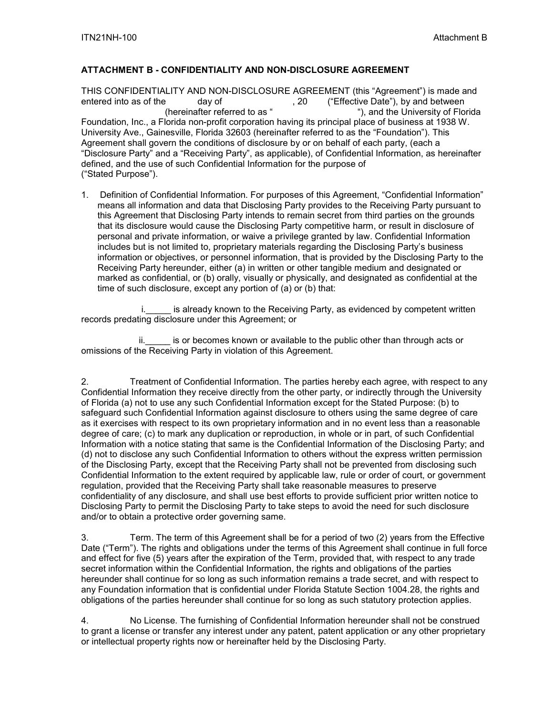## **ATTACHMENT B - CONFIDENTIALITY AND NON-DISCLOSURE AGREEMENT**

THIS CONFIDENTIALITY AND NON-DISCLOSURE AGREEMENT (this "Agreement") is made and<br>entered into as of the day of (effective Date"), by and between entered into as ", 20 ("Effective Date"), by and between<br>(hereinafter referred to as ", and the University of Flor "), and the University of Florida Foundation, Inc., a Florida non-profit corporation having its principal place of business at 1938 W. University Ave., Gainesville, Florida 32603 (hereinafter referred to as the "Foundation"). This Agreement shall govern the conditions of disclosure by or on behalf of each party, (each a "Disclosure Party" and a "Receiving Party", as applicable), of Confidential Information, as hereinafter defined, and the use of such Confidential Information for the purpose of ("Stated Purpose").

1. Definition of Confidential Information. For purposes of this Agreement, "Confidential Information" means all information and data that Disclosing Party provides to the Receiving Party pursuant to this Agreement that Disclosing Party intends to remain secret from third parties on the grounds that its disclosure would cause the Disclosing Party competitive harm, or result in disclosure of personal and private information, or waive a privilege granted by law. Confidential Information includes but is not limited to, proprietary materials regarding the Disclosing Party's business information or objectives, or personnel information, that is provided by the Disclosing Party to the Receiving Party hereunder, either (a) in written or other tangible medium and designated or marked as confidential, or (b) orally, visually or physically, and designated as confidential at the time of such disclosure, except any portion of (a) or (b) that:

i. is already known to the Receiving Party, as evidenced by competent written records predating disclosure under this Agreement; or

is or becomes known or available to the public other than through acts or omissions of the Receiving Party in violation of this Agreement.

2. Treatment of Confidential Information. The parties hereby each agree, with respect to any Confidential Information they receive directly from the other party, or indirectly through the University of Florida (a) not to use any such Confidential Information except for the Stated Purpose: (b) to safeguard such Confidential Information against disclosure to others using the same degree of care as it exercises with respect to its own proprietary information and in no event less than a reasonable degree of care; (c) to mark any duplication or reproduction, in whole or in part, of such Confidential Information with a notice stating that same is the Confidential Information of the Disclosing Party; and (d) not to disclose any such Confidential Information to others without the express written permission of the Disclosing Party, except that the Receiving Party shall not be prevented from disclosing such Confidential Information to the extent required by applicable law, rule or order of court, or government regulation, provided that the Receiving Party shall take reasonable measures to preserve confidentiality of any disclosure, and shall use best efforts to provide sufficient prior written notice to Disclosing Party to permit the Disclosing Party to take steps to avoid the need for such disclosure and/or to obtain a protective order governing same.

3. Term. The term of this Agreement shall be for a period of two (2) years from the Effective Date ("Term"). The rights and obligations under the terms of this Agreement shall continue in full force and effect for five (5) years after the expiration of the Term, provided that, with respect to any trade secret information within the Confidential Information, the rights and obligations of the parties hereunder shall continue for so long as such information remains a trade secret, and with respect to any Foundation information that is confidential under Florida Statute Section 1004.28, the rights and obligations of the parties hereunder shall continue for so long as such statutory protection applies.

4. No License. The furnishing of Confidential Information hereunder shall not be construed to grant a license or transfer any interest under any patent, patent application or any other proprietary or intellectual property rights now or hereinafter held by the Disclosing Party.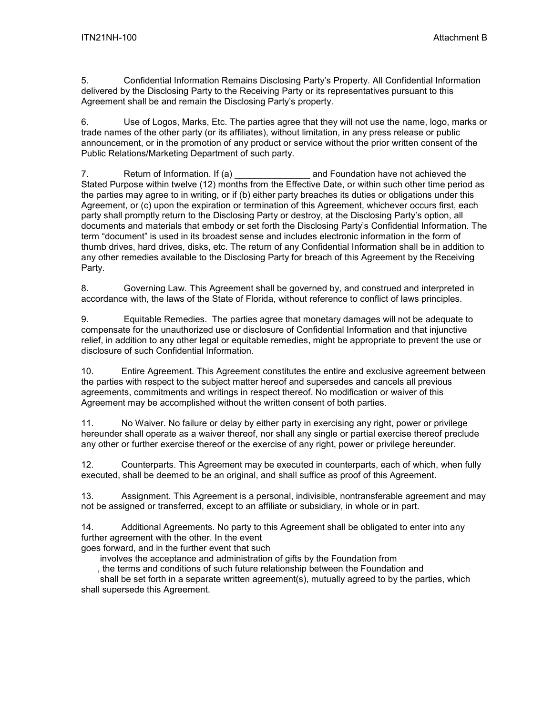5. Confidential Information Remains Disclosing Party's Property. All Confidential Information delivered by the Disclosing Party to the Receiving Party or its representatives pursuant to this Agreement shall be and remain the Disclosing Party's property.

6. Use of Logos, Marks, Etc. The parties agree that they will not use the name, logo, marks or trade names of the other party (or its affiliates), without limitation, in any press release or public announcement, or in the promotion of any product or service without the prior written consent of the Public Relations/Marketing Department of such party.

7. Return of Information. If (a) **Repeation** and Foundation have not achieved the Stated Purpose within twelve (12) months from the Effective Date, or within such other time period as the parties may agree to in writing, or if (b) either party breaches its duties or obligations under this Agreement, or (c) upon the expiration or termination of this Agreement, whichever occurs first, each party shall promptly return to the Disclosing Party or destroy, at the Disclosing Party's option, all documents and materials that embody or set forth the Disclosing Party's Confidential Information. The term "document" is used in its broadest sense and includes electronic information in the form of thumb drives, hard drives, disks, etc. The return of any Confidential Information shall be in addition to any other remedies available to the Disclosing Party for breach of this Agreement by the Receiving Party.

8. Governing Law. This Agreement shall be governed by, and construed and interpreted in accordance with, the laws of the State of Florida, without reference to conflict of laws principles.

9. Equitable Remedies. The parties agree that monetary damages will not be adequate to compensate for the unauthorized use or disclosure of Confidential Information and that injunctive relief, in addition to any other legal or equitable remedies, might be appropriate to prevent the use or disclosure of such Confidential Information.

10. Entire Agreement. This Agreement constitutes the entire and exclusive agreement between the parties with respect to the subject matter hereof and supersedes and cancels all previous agreements, commitments and writings in respect thereof. No modification or waiver of this Agreement may be accomplished without the written consent of both parties.

11. No Waiver. No failure or delay by either party in exercising any right, power or privilege hereunder shall operate as a waiver thereof, nor shall any single or partial exercise thereof preclude any other or further exercise thereof or the exercise of any right, power or privilege hereunder.

12. Counterparts. This Agreement may be executed in counterparts, each of which, when fully executed, shall be deemed to be an original, and shall suffice as proof of this Agreement.

13. Assignment. This Agreement is a personal, indivisible, nontransferable agreement and may not be assigned or transferred, except to an affiliate or subsidiary, in whole or in part.

14. Additional Agreements. No party to this Agreement shall be obligated to enter into any further agreement with the other. In the event

goes forward, and in the further event that such

involves the acceptance and administration of gifts by the Foundation from

, the terms and conditions of such future relationship between the Foundation and

shall be set forth in a separate written agreement(s), mutually agreed to by the parties, which shall supersede this Agreement.